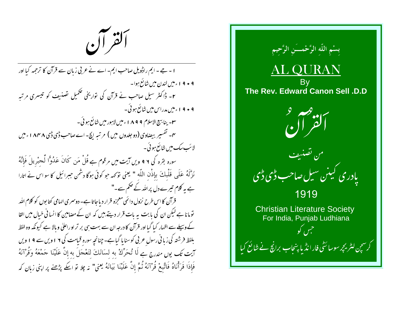ألقر آن

ا - جے - ایم راڈویل صاحب ایم- اے نے عربی زبان سے قرآن کا ترجمہ کیا اور ۹ • ۹ ۱ ء میں لندن میں شائع ہوا۔ ۲۔ ڈاکٹر سیل صاحب نے قرآن کی نواریخی تکمیل نضنیف کو تیسری مرتبہ ۹ • ۹ ا ءمیں مدراس میں شائع ہوئی۔ سل- ينابسج الاسلام ٨٩٩٩ء ميں لاہور ميں شائع ہو ئی ۔ <sup>س</sup> – تفسیر بیضاوی (دو جلدوں میں ) مرتبہ ایچ۔اےصاحب ڈی ڈی م ۸۴۸ ءمیں لائب سک میں شائع ہو ئی ۔ سورہ بقرہ کی ۹ و یں آیت میں مرقوم ہے قُلْ مَن کَانَ عَدُوًّا لَّحِبْرِيلَ فَإِنَّهُ نَزَّلَهُ عَلَى قَلْبِكَ بِإِذْنِ اللَّهِ " يُعني نوَكَهه جو كوئي ہوگا دشمن جبرائيل كا سو اس نے اتارا ہے یہ کلام تیرے دل پراللہ کے حکم سے۔" قرآن کا اس طرح نزول دائمَی معجزه قرار دیاجاتا ہے۔ دوسمری الہامی کتا بوں کو کلام اللہ تومانا ہے لیکن ان کی بابت یہ بات قرار دیتے ہیں کہ ان کے مصامین کا انسانی خیال میں القا کے وسیلے سے اظہار کیا گیا اور قرآن کا درجہ ان سے بہت ہی بر تر او راعلیٰ وبالا ہے کیونکہ وہ لفظ بلفظ فرشتہ کی زبا فی رسول عربی کوسنا پا گیاہے۔چنانچہ سورہ قیامت کی ۲ اویں سے ۹ ا ویں آيت تك يوں مندرج ہے لَا تُحَرِّكْ به لسَانَكَ لتَعْجَلَ به إِنَّ عَلَيْنَا جَمْعَهُ وَقُرْآنَهُ فَإِذَا قَرَأْنَاهُ فَاتَّبِعْ قُرْآنَهُ ثُمَّ إِنَّ عَلَيْنَا بَيَانَهُ يَعني" نِه چِلا تو اكِّ پِرُصخ پر اپني زبان كه

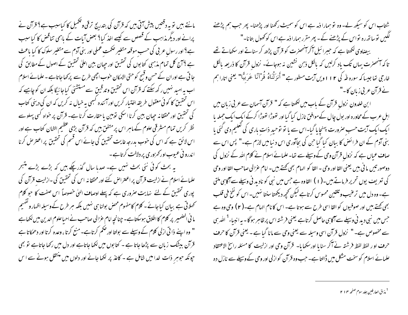مانتے ہیں تو یہ دقتیں پیش آتی ہیں کہ قرآن کی بتدریج ترقی وتکمیل کا کیاسبب ہے؟ قرآن نے پرانے اور دیگر مذاہب کے قصص سے کیسے اخذ کیا؟ بعض آیات کے باہمی تناقض کا کیاسبب ہے؟اور رسول عربی کی حسب موقعہ متغیر صحمت عملی اور بنی آدم سے متغیر سلوک کا کیا باعث ہے ؟ آج کل تمام مذہبی کتابوں کی تحقیق اور حیان بین اعلیٰ تحقیق کے اصول کے مطابق کی جا تی ہے اور ان کے حسن وقبح کو حتی الامکان خوب اچھی طرح سے پر کھا جاتا ہے ۔ علمائے اسلام اب یہ امید نہیں رکھ سکتے کہ قرآن اس تحقیق وتد قینِ سے مستشنل کیاجائیگا بلکہ ان کو چاہیے کہ اس تحقیق کا کوئی معقول طریقہ اختبار کریں اور آئندہ کسجی پہ خبال نہ کریں کہ ان کی دینی کتاب کی تحقیق اور محققا نہ جیان بین کرنا اسکی نوبین یا حقارت کرنا ہے۔ قرآن پر خواہ کسی پہلو سے نظر کریں تمام مشرقی علوم کے ماہر اس پر متفق ہیں کہ قرآن بڑی عظیم الشان کتاب ہے اور اس لائق ہے کہ اس کی خوب بدرجہ غایت تحقیق کی جائے اس قسم کی تحقیق پر اعتر حس کرنا اندرو نی عیوب اور <sub>محم</sub>زوری پر دلالت کرتاہے۔

یہ بحث کوئی نئی بحث نہیں ہے۔ صدبا سال گذر چکے ہیں کہ بڑے بڑے متبحر علمائے اسلام نے ازلیت قرآن پر اعتراض کئے اور محققانہ اس کی تحقیق کی -ازلیت قرآن کی پوری تحقیق کے لئے نہایت صروری ہے کہ پہلے اوصاف الہیٰ خصوصاً اس صفت کا حو کلام تحملاتی ہے بیان کیاجائے۔ کلام کامفهوم محض بولنا ہی نہیں بلکہ ہر طرح کے وسیلہ اظہار و <sup>نفہ</sup>یم ما فی الضمیر پر کلام کا اطلاق ہوسکتاہے۔ چنانچہِ امام عزالی صاحب نے احیاعلوم الدین میں لکھاہے " وہ اپنے ذا ٹی ازلی کلام کے وسیلے سے بولتا اور حکم کرتاہے۔ منع کرتا ، وعدہ کرتا اور دھمکاتا ہے قرآن بدیشک زبان سے پڑھا جاتا ہے - کتا بوں میں لکھا جاتاہے اور دل میں رکھا جاتاہے تو بھی حپونکہ حوہبر ذات خدا میں شامل ہے ۔ کاغذ پر لکھا جانے اور دلوں میں منتقل ہونے سے اس

شتاب اس کو سیکھ لے۔ وہ تو ہمارا ذمہ ہے اس کو سمیٹ رکھنا اور پڑھنا۔ پھر جب ہم پڑھنے لگیں توساتھ رہ تواس کے پڑھنے کے۔ پھر مقرر ہمارا ذمہ ہے اس کو کھول بتانا۔" بیضاوی لکھتا ہے کہ حببرائیل آکرامنحصرت کو قرآن پڑھ کر سناتے اور سکھاتے تھے تا کہ آنحصرت یہاں تک یاد کرلیں کہ بالکل ذہن نشین نہ ہوجائے۔ نزول قرآن کا ذریعہ بالکل خارجي تعاجيسا كه سوره طه كي ١١٢وين آيت مسطور ہے " أَنزَلْنَاهُ قُرْآنًا عَرَبيًّا" يعني اتارا ہم نے قرآن عربی زبان کا۔"

ا بن خلدون نزول قرآن کے باب میں لکھتا ہے کہ " قرآن آسمان سے عربی زبان میں ابلِ عرب کے محاورہ اور بول چال کے موافق نازل کیا گیا اور تھوڑا تھوڑا کرکے ایک ایک حملہ یا ایک ایک آیت حسب صرورت پہنچا پا گیا-اس سے یا نو نوحید ذات باری کی تعلیم دی گئی یا بنی آدم کے ان فرائض کا بیان کیا گیا جن کی بجاآوری اس د نیامیں لازم ہے۔" پس اس سے صاف عباں ہے کہ نزول قرآن وحی کے وسیلے سے تھا۔علمائے اسلام نے کلام اللہ کے نزول کی دوصور تيس ما في بيس يعني القا اور وحي – القا كو الهام بھي كھتے ہيں۔ امام عزالي صاحب القا اور وحي کی تعریف یوں تحریر فرماتے ہیں۔(۱) القاوہ ہے جس میں نبی کو نادید فی وسیلے سے آگاہی ملتی ہے۔ وہ دل میں ترعیب و تلقین محسوس کرتاہے لیکن تحجیہ دیکھتا سنتا نہیں۔ اس کو نفخ فی قلب بھی کھتے بیں اور صوفیوں کو القا اسی طرح سے ہوتا ہے۔ اس کا نام الہام ہے۔( ۲ ) وحی وہ ہے جس میں نبی دید فی وسیلے سے آگاہی حاصل کرتاہے یعنی <sub>فرشنتہ</sub> اس پر ظاہر ہوگا۔ یہ انبیاء<sup>1</sup> اللہ ہی سے مخصوص ہے۔ " نزول قرآن اسی وسیلہ سے یعنی وحی سے مانا گیا ہے - یعنی قرآن کا حرف حرف او ر لفظ لفظ فرشته نے آگر سنایا اور سکھایا- قرآن وحی اور ازلیت کا مسئلہ راسخ الاعتقاد علمائے اسلام کوسخت مشکل میں ڈالتا ہے۔ حب وہ قرآن کو ازلی اور وحی کے وسیلے سے نازل دہ

<sup>1</sup> مذاق العارفين جلد سوم صفحه ٢ ا ٢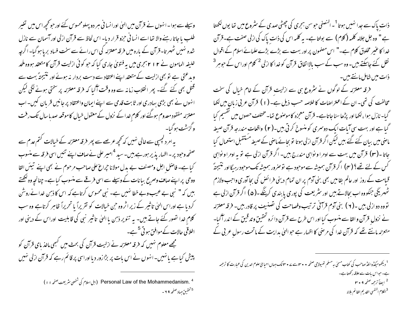ذات پاک سے جدا نہیں ہوتا <sup>1</sup>۔النصفی حبوسن ہجری کی چھٹی صدی کے سٹروع میں تھا یوں لکھتا ہے " وہ جل جلالہ کلمہ ( کلام ) سے بولتا ہے۔ یہ کلمہ اس کی ذات پاک کی ازلی صفت ہے۔قرآن خدا کا عنیر مخلوق کلام ہے۔" اس مصنمون پر اور بہت سے بڑے بڑے علمائے اسلام کے اقوال نقل کئے جاسکتے ہیں۔وہ سب کے سب بالااتفاق قرآن کو خدا کا ازلی <sup>2</sup> کلام اوراس کے حوہر<sup>3</sup> ذات میں شامل مانتے *ہیں۔* 

فرقہ معتزلہ کے لوگوں نے سٹروع ہی سے ازلیت قرآن کے غام خیال کی سخت مخالفت کی تھی۔ ان کے اعتراضات کا خلاصہ حسب ذیل ہے۔ ( ۱ ) قرآن عربی زبان میں لکھا گیا- نازل ہوا ، لکھا اور پڑھاسنا جاتاہے۔ قرآن معجزہ کاموصوع تھا- مختلف حصوں میں گفسیم کیا گیا ہے اور بہت سی آیات ایک دوسمری کو منسوخ کرتی ہیں۔( ۲ ) واقعات مندرجہ قرآن صیغہ ماصی میں بیان کئے گئے بیں لیکن اگر قرآن ازلی ہوتا تو بجائے ماصی کے صیغہ مستقبل استعمال کیا جاتا -(۳) قرآن میں بہت سے اومرا و نواہی مندرج بیں- اگر قرآن ازلی ہے نو یہ اومرا و نواہی کس کے لئے تھے؟ ( مہ) اگر قرآن ہمیشہ سے موحود ہے تو صرور ہمیشہ تک موحود رہیگااور نتیجتہً قبامت کے روز اور عالم بقامیں بھی بنی آدم پر ان تمام دینی فرائض کی بجا آوری واجب ولازم ٹھہریگی جنکووہ اب بجالاتے ہیں اور سثر یعت کی پوری یا بندی کرینگے۔(۵) اگر قرآن ازلی ہے تووه دو ازلی بین ۔( ۲ ) بنی آدم قرآنی ترتیب وفصاحت کی تصنیف پر قادر بین۔ فرقہ معتزلہ نے نزول قرآن و القا سے منسوب کیا اور اس طرح سے قرآن دائرہ تحقیق و تد قبیٰ کے اندر آگیا-متعزلہ مانتے تھے کہ قرآن خدا کی مرضی کا اظہار ہے حبو الہیٰ ہدایت کے ماتحت رسول عربی کے

<sup>1</sup> دیکھومیکڈوانلڈ صاحب کی کتاب مسلی ہہ مسلم تھیولاجی صفحہ • • ۳ سے ۷ • ۳ تک جہال احیا مئ علوم الدین کی عبارت کا ترحمہ ہے۔حواس بات سے علاقہ رکھتاہے۔ <sup>2</sup> ايضاً ترحمه صفحه ۹ • ۳ <sup>3</sup>الكلام النفسي القديم القائم بلاته

وسیلے سے ہوا۔انہوں نے قرآن میں الہٰیٰ اورانسا نی ہر دو پہلومحسوس کئے اور حو کحچھ اس میں تغییر طلب یا جاتا رہنے والا تھا اسے انسا فی حمزو قرار دیا۔ اس لحاظ سے قرآن ازلی اور آسمان سے نازل شدہ نہیں ٹھہر تا-قرآن کے مارہ میں فرقہ معتزلہ کی اس رائے سے سخت فساد بریا ہوگیا- اگرچہ خلیفہ المامون نے ۲ ۱ ۲ ہجری میں یہ فتویٰ جاری کیا کہ حو کوئی ازلیت قرآن کامتعقد ہووہ ملحد ویدعتی ہے نو بھی ازلیت کے متعقد اپنے اعتقاد سے دست بردار نہ ہوئے اور نتیجتہً بہت سے قتل بھی کئے گئے۔ پھر انقلاب زمانہ سے وہ وقت آگیا کہ فرقہ معتزلہ پر سختی ہونے لگی لیکن انہوں نے بھی بڑی بہادری اور ثابت قدمی سے اپنے ایمان واعتقاد پر جانیں قریان کیں۔اب معتزلہ مفقود معدوم ہوگئے اور کلام خدا کے نزول کے معقول خیال کاموقعہ صدبا سال تک رفت وگزشت ہو گیا۔ یہ امرد کچسپی سے خالی نہیں کہ کحچہ عرصے سے پھر فرقہ معتزلہ کے خیالات کتم عدم سے

صفحہ وحود پر - اظہار پذیر ہورہے،ہیں۔سید <sup>4</sup>امیر علی نےصا**ت** اپنے تئیں اسی فرقہ سے منسوب کیا ہے۔ فاصل اجل ومصنف بے بدل مولانا حجراع علی صاحب مرحوم نے بھی اپنے تیئں القا ووحی پر اپنے صاف وصریح بیانات کے وسیلے سے اسی فرقے سے منسوب کیا ہے۔ چنانچہ وہ لکھتے ہیں کہ " نبی بے عیب وبے خطا نہیں ہے۔ نبی محسوس کرتاہے کہ اس کا ذہن خدا نے روشْن کردیا ہے اوراس الهیٰ تاثیر کے زیر اثر وہ حن خیالات کو نقریراً یا تحریراً ظاہر کرتاہے وہ سب کلام غدا نصور کئے جاتے ہیں۔ یہ تنویر ذہن یا العلٰ تاثیر نبی کی قابلیت اوراس کے دینی اور اخلاقی حالات کے موافق ہو تی <sup>5</sup>ہے۔ مجھے معلوم نہیں کہ فرقہ معتزلہ نے ازلیت قرآن کی بحث میں کسجی ماخذ بای قرآن کو پیش کیا ہے پانہیں۔انہوں نے اس بات پر بڑازور دیا اوراسی پر قائم رہے کہ قرآن ازلی نہیں

> Personal Law of the Mohammedanism. <sup>4</sup> (ابل اسلام کی تنخصی نثر یعت صفحه ۱۱) <sup>5 تحقي</sup>ي صاد صفحه 9 ۲ -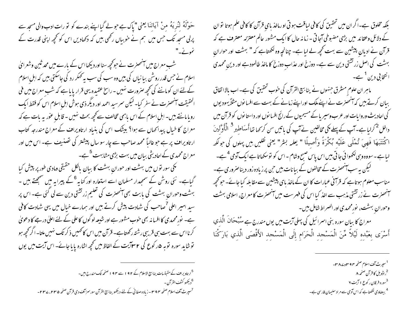بلکہ مخلوق ہے۔اگر ان میں تحقیق کی کافی لیاقت ہو تی اورماخذ بای قرآن کا کافی علم ہوتا تو ان کے دلائل وعقائد میں بڑی مضبوطی آجا تی - زمانہ حال کا ایک مشہور عالم معتزلہ معترف ہے کہ قرآن نے ادیانِ پیشین سے بہت کھچھ لے لیا ہے۔ چنانچہِ وہ لکھتاہے کہ " بہشت اور حوارانِ بہشت کی اصل زر تشتی دین سے ہے۔ دوزخ اور عذابِ دوزخ کا ماخذ طالمودہے اور دینِ محمدی ا نتخا بی دین <sup>1</sup> ہے۔

ماہر ان علوم مسٹرق جنہوں نے بنا بسیج القرآن کی خوب تحقیق کی ہے۔ اب بالا اتفاق بیان کرتے ہیں کہ آٹھنرت نے اپنے ملک اوراپنے زمانے کے بہت سے افسا نوں مثلاً یہودیوں کی احادیث وروایات اور عرب وسیریا کے مسیحیوں کے رائج افسا نوں اور داستا نوں کو قرآن میں داخل <sup>2</sup> کرلیا ہے۔ آپ کے پہلے مکی مخالفین نے آپ کی باتیں سن کر <sub>ک</sub>ہا تنا أُسَاطِي<sub>ّد</sub> <sup>3</sup> الْمَأُوَّلِينَ اكْتَتَبَهَا فَهِيَ تُمْلَى عَلَيْه بُكْرَةً وَأَصِيلًا " يعلمه بشر" يعني نقليں بيں پہلوں كى جولكھ لیاہے۔سووہ وہی لکھوائی جاتی بیں اس یاس صبح وشام -اس کو نوسکھاتاہے ایک آدمی <sup>4</sup>ہے۔ گیکن یہ سب آنحصرت کے مخالفوں کے بیانات بیں حن پر زیادہ زور دیناصروری ہے۔ مناسب معلوم ہوتاہے کہ قرآنی عمارات کا ان کے ماخذ بای پیشین سے مقابلہ کیا جائے۔ حوکحچہ آنھھزت نے زر تشتی مذہب سے ا<sub>فل</sub>ز کیا اس کی فہرست میں آنھھزت کامعراج، اسلامی بہشت وحوران بهشت، نورمحمدی اور الصراط شامل بین۔ معراج کا بیان سورہ بنی اسرائیل کی پہلی آیت میں یوں مندرج ہے میُبْحَانَ الَّذِي أَسْرَى بعَبْده لَيْلاً مِّنَ الْمَسْحد الْحَرَام إِلَى الْمَسْحد الأَقْصَى الَّذي بَارَكْنَا

> <sup>1</sup> سپرٹ آف اسلام صفحہ ۴۲ میں دے ۳۸۔ <sup>2</sup>راڈویل کا قرآن صفحہ ۸ <sup>3</sup>سوره فرقان ر کوع ا آیت ۲ <sup>4</sup> بیضاوی لکھتاہے کہ اس آدمی سے مراد سلیمان فارسی ہے۔

حَوْلَهُ لِنُرِيَهُ مِنْ آيَاتِنَا يُعِنِي "ياكِ ہے حولے گيا اپنے بندے کو تو رات ادب والی مسجد سے پرلی مسجد تک جس میں ہم نے خوبیاں رکھی بیں کہ دکھادیں اس کو کحچھ اپنی قدرت کے نمونے۔"

شب معراج میں آنحصرت نے حوکچھ سنااور دیکھااس کے بارے میں محد ثنین وشعرائ اسلام نے جس قدر روشن بیانیاں کی بیں وہ سب کی سب پہ کھکر رد کی جاسکتی ہیں کہ اہلِ اسلام کےلئے ان کوماننے کی تحجیے صرورت نہیں - راسخ عقیدہ یہی قرار پایا ہے کہ شب معراج میں فی الحقیقت آنحصرت نے سفر کیا۔ لیکن سمرسید احمد اور دیگر ذی ہوش اہل اسلام اس کو فقط ایک رویا مانتے ہیں۔اہل اسلام کے اس باہمی تخالف سے محچہ بحث نہیں - قابلِ عوٰر یہ بات ہے کہ معراج کا خیال پیدائماں سے ہوا؟ بیٹنگ اس کی بنیاد ارتاویراف کے معراج مندرجہ کتاب ارتاویراف پر ہے حو غالباً محمد صاحب سے چار سو سال پیشتر کی تصنیف ہے۔ اس میں اور معراج محمدی کے احادیثی بیان میں بہت بڑی مشابہت <sup>5</sup>ہے۔

یکمی سور نوں میں بهشت اور حورانِ بهشت کا بیان بالکل حقیقی ومادی طور پر پیش کیا گیاہے۔ نئی روشن کے سمجدار مسلمان اسے استعارہ اور کنا یہ <sup>6</sup> کے پیرا یہ میں سمجھتے ہیں ۔ بہشت وحوران بہشت <sup>ک</sup>ی بابت بھی آنمصرت کی تعلیم زر تشتی دین سے لی گئی ہے۔ اس پر سید امیر اعلی <sup>7</sup>صاحب کی شادت پیش کرتے ہیں اور ہمارے خیال میں یہی شادت کافی ہے۔ نور محمدی کا افسا نہ بھی خوب مشور ہے اور شیعہ لو گوں کا علی کے لئے اعلیٰ درجے کا دعویٰ کرنا اس سے بہت ہی قریبی رشتہ رکھتاہے۔ قرآن میں اس کا تھمیں ذکر تک نہیں ملتا۔ اگر تحچھ ہو نوشاید سورہ نوبہ ۵ر کوع کی ۲سا آیت کے الفاظ میں تحجیہ اشارہ پایا جائے۔ اس آیت میں یوں

<sup>5</sup> ارتادیراف کے مقبتسات پنا بسیج الاسلام کے ۱۹۲ سے ۱۹۴ <sup>صفح</sup>ه تک مندرج ہیں۔ <sup>6</sup>ديكھو كشف القرآن -<sup>7</sup>سپرٹ آف اسلام صفحہ ۳۹۴ - زیادہ صفائی کے لئے دیکھو پنا بسیج القرآن سورسز آف دی قرآن صفحہ ۲۳۵، ۲۳۷ -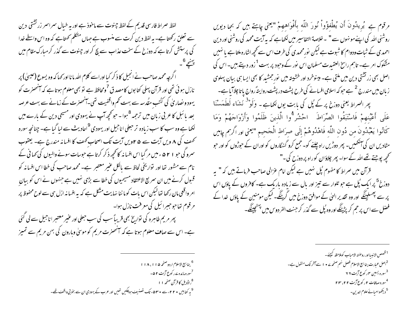لفظ صراط فارسی قدیم کے لفظ جینوت سے ماخوذ ہے اور یہ خیال سمراسمر زر تشتی دین سے تعلق رکھتا ہے۔ یہ لفظ دین کرت سے منسوب ہے جہاں متکلم کھتاہے کہ وہ اس واسطے خدا کی پرستش کرتا ہے کہ دوزخ کے سخت عذاب سے بچ کراور جینوت سے گذر کر مبارک مقام میں اگرچہ محمد صاحب نے انجیل کا ذکر کیا اوراسے کلام اللہ مانا اور کہا کہ وہ یسوع (عیسیٰ) پر نازل ہو ئی تھی اور قرآن پہلی کتا بوں کامصد ق <sup>7</sup>ومحافظ ہے تو بھی معلوم ہوتا ہے کہ آنحصرت کو یہود و نصار <sub>ک</sub>ی کُٹپ متُدسہ سے بہت **تھم واق**فیت تھی۔آنھنزت کے زمانے سے بہت عرصہ بعد بائبل کا عربی زبان میں تر*جمہ <sup>8</sup>ہو*ا - حو تحچی*ہ آپ نے یہود*ی اور مسیحی دین کے بارے میں لکھا ہے وہ سب کا سب زیادہ تر حعلی اناجیل اور یہودی <sup>9</sup>احادیث سے لیا گیا ہے۔ چنانچہ سورہ نمحمف کی **۸ ویں آیت سے ۴۵ ویں آیت تک** اصحاب کھف کا افسا نہ مندرج ہے۔ یعقوب سمرو کی حبو ۵۲۱ ء میں مر گیا اس افسانہ کانحچھ ذکر کرتا ہے حبوسات سونے والیوں کی کہا ٹی کے نام سے مشور تھا اور نوار یخی لحاظ سے بالکل عنیر معتبر ہے۔ محمد صاحب کی خطا اس افسا نہ کو قبول کرنے میں ان سمریع الاعتقاد مسیحیوں کی خطا سے بڑی نہیں ہے جنہوں نے اس کو بیان امر واقعی مان رکھا تھالیکن اس بات کوما ننا نہایت مشکل ہے کہ پہ افسا نہ ازل ہی سے لوح محفوظ پر مرقوم تفاحوحببرائيل كي معرفت نازل ہوا۔ پھر مریم طاہرہ کی نواریخ بھی قریباً سب کی سب حبعلی اور عنبر معتبر اناحبیل سے لی کئی ہے۔ اس سے صاف معلوم ہوتا ہے کہ آنھھنرت مریم کو موسیٰ وہارون کی بہن مریم سے تمیز

> <sup>6</sup> ينابيع الإسلام اردو صفحه ۱۱۸،۱۱۵ <sup>7</sup>سورہ مائدہ <sub>کے ر</sub> کوع آیت ۵۲ – <sup>8</sup>راڈویل کا قرآن صفحہ ۱۱ <sup>9</sup> یہ کتابیں • ۲۲ءسے • ۵۳۰، تک نضنیف ہوچکیں تھیں اور عرب کے یہودی ان سے بخوبی واقف تھے۔

مرقوم ہے گیریڈونَ أَن یُطْفؤُواْ نُورَ اللَّه بأَفْوَاههمْ "یعنی طِہتے ہیں کہ بجا دیویں روشنی اللہ کی اپنے مو نہوں سے " ۔خلاصۃ التفاسیر میں لکھاہے کہ یہ آیت محمد کی روشنی اور دین احمدی کے ثبات ودوام کا ثبوت ہے لیکن نورمحمدی کی طرف اس سے کچھ اشارہ ملتا ہے یا نہیں مشکوک امر ہے۔ تاہم راسخ العقیدت مسلمان اس نور کے وجود پر بہت <sup>1</sup> زور دیتے ہیں۔ اس کی اصل بھی زر تشتی دین میں ملتی ہے۔ مینوخرد اور خشیتہ میں نور جمشید کا بھی ایسا ہی بیان پہلوی زبان میں *مندر*ج <sup>2</sup> ہے حو کہ اسلامی افسانے کی طرح پشت درپشت روایتڈرواج پاتا چلاآیا ہے۔ پھر الصراط یعنی دوزخ پر کے پُل کی بابت یوں لکھاہے ۔ وَلَوْ<sup>3</sup> نَشَاء لَطَهَسْنَا عَلَى أَعْيُنِهِمْ فَاسْتَبَقُوا الصِّرَاطَ ۖ احْشُر<sup>14</sup>وا الَّذِينَ ظَلَمُوا وَأَزْوَاحَهُمْ وَمَا كَانُوا يَعْبُدُونَ من دُونِ اللَّهِ فَاهْدُوهُمْ إِلَى صِرَاطِ الْحَحِيمِ "يعني اور ٱلرَّبم طِيسٍ مٹادیں ان کی آنکھیں۔ پھر دوڑیں راہ چلنے کو۔ جمع کرو گنہگاروں کو اوران کے حوڑوں کو اور حبو کھچھ پوجتے تھے اللہ کے سوا۔ بھر چلاؤان کوراہ پر دوزح کی۔" قرآن میں صراط کا مفهوم پُل نہیں ہے لیکن امام عزالی صاحب فرماتے ہیں کہ " یہ دوزخ<sup>5</sup> پر ایک <sup>پ</sup>ل ہے جو تلوار سے تیز اور بال سے زیادہ باریک ہے۔ کافروں کے یاؤں اس پر سے پھسلینگے اور وہ تقدیر العیٰ کے موافق دوزخ میں گرینگے۔ لیکن مومنین کے یاؤں خدا کے فصل سے اس پر حم کر پڑینگے اور وہ پُل سے گذر کر حٖنت الفر دوس میں پہن<u>چینگ</u>ے۔

<sup>1</sup> قصص الانبسااور روضته الاحساب كوملاحظه كييحئے – <sup>2</sup>اصل عبارت بنا بيع الاسلام فصل نهم صفحه ٢٠ - اسے آخر تك منقول ہے۔ <sup>3</sup>سورہ یسین <sub>م</sub>ہر کوع آیت ۲۲ <sup>4</sup>سوره صافات ۲ ر کوع آیت ۲ ۲، ۲۳ م <sup>5</sup> دیکھواحبائے علوم الدین۔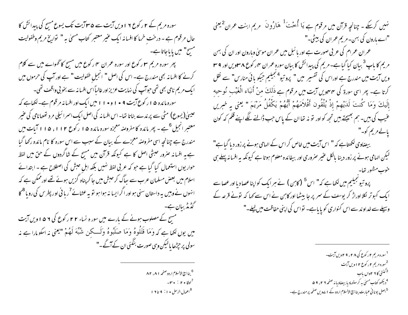سورہ مریم کے ۲ رکوع ۲ ا ویں آیت سے ۳۵ آیت تک یسوع مسح کی پیدائش کا حال مرقوم ہے ۔ درخت خرما کا افسانہ ایک عنیر معتبر کتاب مسمٰی بہ " تواریخ مریم وطفولیت مسیح" میں پایاجاتا ہے۔ پھر سورہ مریم سو رکوع اور سورہ عمران سو رکوع میں مسیح کا گھواے میں سے کلام کرنے کا افسا نہ بھی مندرج ہے۔ اس کی اصل " انجیلِ طفولیت " ہے اور آپ کی حرموں میں ا یک مریم نامی بھی تھی حوآپ کی نہایت عزیزاور غالباً اس افسا نہ سے بخو بی واقف تھی۔ سوره مائده ۱۵ رکوع آیت ۹ • ۱ و • ۱۱ میں ایک اور افسانہ مرقوم ہے۔لکھاہے کہ عیسیٰ(یسوع) مٹی سے پرندے بناتا تھا- اس افسا نہ کی اصل ایک اسمرا ئیلی مرد تھومانامی کی عنیر معتبر انجیل <sup>6</sup>ہے - پھر مائدہ کا مفروضہ معجزہ سورہ مائدہ ۵ ا رکوع ۱۱۲، ۱۱۵ آبات میں مندرج ہے چنانچہ اسی مفروصنہ معجزے کے بیان کے سبب سے اس سورہ کا نام مائدہ رکھا گیا ہے یہ افسانہ صرور حنبشی اصل کا ہے کیونکہ قرآن میں مسیح کے شاگردوں کے حن میں لفظ حوار یوں استعمال کیا گیا ہے جو کہ عربی لفظ نہیں بلکہ اہل حبش کی اصطلاح ہے ۔ ابتدائے اسلام میں بعض مسلمان عرب سے سِاگ کر حبش میں جا کر پناہ گزیں ہوئے تھے اور ممکن ہے کہ انهوں نے وہیں یہ داستان سنی ہواور اگرایسا نہ ہوا ہو تو یہ عثائے<sup>7</sup>ربا فی اور پطرس کی روبا<sup>8</sup> کا گڈمڈ بیان ہے۔ مسیح کے مصلوب ہونے کے بارے میں سور ہ نساء ۲۲ رکوع کی ۵۶ اوپں آیت میں یوں لکھا ہے کہ وَمَا قَتَلُوهُ وَمَا صَلَبُوهُ وَلَـــکِن شُبِّهَ لَهُمْ "یعنی نہ اسکومارا ہے نہ سولی پر حیڑھا پالیکن وہی صورت بنگئی ان کے آگے۔"

> <sup>6</sup> ينا بسيع الإلسلام اردو صفحه ٨٢، ٨٢ لوقا ۲۰ : ۲۰ - س <sup>8</sup> اعمال الرسل • ۱ : ۹ تا ۱۹

نہیں کرسکے ۔ چنانچہ قرآن میں مرقوم ہے <sup>ی</sup>ا اُُّحْت<sup>1</sup> هَارُونَ مریم ابنت عمران<sup>2 یعن</sup>ی "اے ہارون کی بہن۔ مریم عمران کی بیٹی۔" عمران عمرام کی عربی صورت ہے اور بائبل میں عمران موسیٰ وہارون اور ان کی بہن مریم کا باپ<sup>3</sup> بیان کیا گیاہے۔مریم کی پیدائش کا بیان سورہ عمران <sup>مہ</sup>ار کوع **۸ س<sub>اویں اور 4 س**</sub> ویں آیت میں مندرج ہے اوراس کی تفسیر میں " پروتیو<sup>4 مجیلی</sup>م جیکو بائی منارس" سے نقل کرتا ہے۔ پھر اسی سورۃ کی ۴مهویں آیت میں مرقوم ہے ذَلكَ منْ أَنبَاء الْغَيْبِ نُوحيه إِلَيكَ وَمَا كُنتَ لَدَيْهِمْ إِذْ يُلْقُون أَقْلاَمَهُمْ أَيُّهُمْ يَكْفُلُ مَرْيَمَ " يعني يه خبريں عنیب کی بیں۔ ہم بھیجتے بیں تجھ کواور تو نہ تھا ان کے پاس حب ڈالنے لگے اپنے قلم کہ کون یالے مریم کو۔" بیضاوی لکھتاہے کہ " اس آیت میں خاص کر اس کے الہامی ہونے پر زور دیا گیاہے" لیکن الہامی ہونے پر زور دینا بالکل عنیر صروری اور بیفائدہ معلوم ہوتا ہے کیونکہ یہ افسا نہ پہلے ہی خوب مشور تھا۔ پروتیو تجیلیم میں لکھاہے کہ" اس<sup>5</sup> (کابن) نے ہر ایک کواپناعصادیااور عصاسے ایک کبوتر لکلا اوراڑ کر یوسف کے سمر پر جا بیٹھا اور کابن نے اس سے کہا کہ تونے قرعہ کے وسیلے سے خداوند سے اس کنواری کو پایاہے۔ نواس کی اپنی حفاظت میں لیلے۔"

> <sup>1</sup>سورہ مریم ۲ رکوع کی ۲۸، ۲۹ ویں آیت۔ <sup>2</sup>سوره مریم ۲ رکوع ۲ اویں آیت گنتی کا ۲ ۲واں باب $^3$ <sup>4</sup> دیکھو کتاب مسملی به کرستوماد با بیضاویا نه صفحه ۲ ۲، ۹ ۵ <sup>5</sup>اصل یونا فی عمارت بنا بسیج الانسلام اردو کے 1 <sub>مے</sub>ویں صفحہ پر *مند*رج ہے۔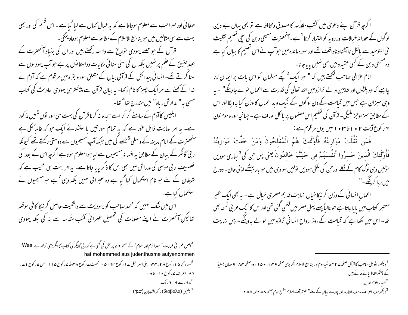ا گرچہ قرآن اپنے دعویٰ میں کُتب مقدُسہ کا مصدق ومحافظ ہے تو بھی یہاں بے دین لو گوں کے ملحدا نہ خیالات اور رو بہ کواختیار کرتا <sup>1</sup>ہے۔آنحصرت مسیحی دین کی سچی تعلیم تثلیث فی التوحید سے بالکل ناآتشناو ناواقف تھے اور سورہ مائدہ میں حواسب نے اس تعلیم کا بیان کیا ہے وہ مسیحی دین کے کسی عقیدہ میں بھی نہیں یا یاجاتا-

امام عزالی صاحب لکھتے ہیں کہ " ہر ایک<sup>2</sup> کچکے مسلمان کو اس بات پر ایما ن لانا چاہیے کہ دو پلڑوں اور شاہین والے ترازومیں اللہ تعالی کی قدرت سے اعمال تو لے جاوینگے" ۔ یہ وہی میزان ہے جس میں قبامت کے دن لوگوں کے نیک وبد اعمال کا وزن کیا جاویگا اور اس کےمطابق سمزاوحزاملیگی۔ قرآن کی تعلیم اس مصمون پر بالکل صاف ہے۔ چنانچہ سورہ مومنون ۲ ر کوع آیت ۲ • ۱ تا ۲۰ • ۱ میں یوں مر قوم ہے :

فَمَن تَقۡلَتْ مَوَازِينُهُ فَأُوْلَٰٓئِكَ هُمُ الْمُفْلِحُونَ وَمَنْ خَفَّتْ مَوَازِينُهُ فَأُوْلَٰئِكَ الَّذينَ خَسرُوا أَنفُسَهُمْ في حَهَنَّمَ خَالدُونَ يعني پس <sup>ج</sup>ن كي<sup>3</sup> بياري بهويں تولیں وہی لوگ کام کے <u>لک</u>ھ اور ح<sub>ب</sub>ی کی بلکی ہوویں تولیں سووسی بیں حو بار بیٹھے اپنی جان- دوزخ نییں ریا کریننگ ۔'**'** 

اعمال انسانی کے وزن کر نیکا خیال نہایت قدیم مصری خیال ہے ۔ یہ بھی ایک عنیر معتبر کتاب میں یا یاجاتا ہے حوعالیاً پہلے پہل مصر میں لکھی گئی تھی اوراس کاایک عربی نسخه بھی تعا- اس میں لکھا ہے کہ قیامت کے روز ارواح انسا فی ترازو میں تو لے جاوینگے- پس نہایت

<sup>1</sup> دیکھوراڈویل صاحب کا قرآن صفحہ ۷ ۲ ماشیہ دوم اور بنا بیج الاسلام انگریزی صفحہ ۱۵ ا، ۱۵۰ اردوصفحہ ۸۴- ۹ جہاں بسلیذ کے پھٹکر الفاظ پائے جاتے ہیں۔ <sup>2</sup> احساء علوم الدين <sup>3</sup> دیکھوسورہ اعراف۔سورہ القارعہ اور پورے بیان کے لئے " فیتحہ آف اسلام "طبیع سوم صفحہ ۲۵۸ اور ۲۵۹

صفا ئی اور صراحت سے معلوم ہوجاتا ہے کہ یہ خیال <sub>ک</sub>ماں سے لیا گیا ہے ۔ اس قسم کی اور بھی بہت سے سی مثالیں بیں حبوینا بیج الاسلام کے مطالعہ سے معلوم ہوجاو ینگی۔ قرآن کے جو جصے یہودی نواریخ سے واسطہ رکھتے ہیں اور ان کی بنیاد آنھھنرت کے عہد عتین کے علم پر نہیں بلکہ ان کی سنی سنا ئی حکایات وداستانوں پر ہے حوآپ یہودیوں سے سنا کرتے تھے۔انسانی پیدائش کے قرآنی بیان کے متعلق سورہ بقرہ میں مرقوم ہے کہ آدم نے خدا کے کھنے سے ہر ایک حبیر کا نام رکھا۔ یہ بیان قرآن سے پیشتر ہی یہودی احادیث کی کتاب مسملی ہہ" مدارش رباہ" میں *مند*رج تھا<sup>4</sup> تھا۔ ابلیس کاآدم کے سامنے گر کر اسے سجدہ نہ کرنا قرآن کی بہت سی سور نوں<sup>5</sup>میں مذکور ہے۔ یہ امر نہایت قابل عور ہے کہ یہ تمام سورتیں با ستشنائے ایک حو کہ غالباً کمی ہے

سنمھنرت کے ایام مدینہ کے وسطی <sup>6</sup>حصے کی بیں حبکہ آپ مسیحیوں سے دوستی رکھتے تھے کیونکہ ر بی گائگر کے بیان کے مطابق یہ افسا نہ مسیحیوں سے لیا ہوا معلوم ہوتاہے اگرچہ اس کے بعد کی تصنیف ر بی موسیٰ کی مدراش میں بھی اس کا ذکر پایا جاتا ہے۔ یہ امر بہت ہی عجیب ہے کہ شیطان کے لئے حبو نام استعمال کیا گیا ہے وہ عبرانی نہیں بلکہ وہی <sup>7</sup>ہے حبو مسیحیوں نے استعمال کیاہے۔ اس میں شک نہیں کہ محمد صاحب کو یہودیت سے واقفیت حاصل کر نیکا کافی موقعہ

تعالیکن آنھنرت نے اپنے معلومات کی تحصیل عبرانی گٹب مقُدسہ سے نہ کی بلکہ یہودی

<sup>4</sup>اصل عمبرا فی عبارت" حبود انرم اور اسلام" کے صنحہ ۲ <sub>کے ب</sub>ر نقل کی گئی ہے کہ ربی گایگر کی کتاب کا انگریزی ترجمہ ہے Was hat mohammed aus judenthusme autyenommen <sup>5</sup>سورہ حجر ۵ ا رکوع ۲۸، ۳۴۔ بنی اسرائیل ۱۷ رکوع ۲۳، ۲۵ - کھٹ <sub>مے ر</sub>کوع ۳۸ تار کوع ۵ ا ۱ - ص ۵ رکوع ۱ <sub>م</sub>، ۸۶-اعراف ۷ رکوع • ۱- تا ۱۸ <sup>6</sup>ے 9 ا ۲ء تک <sup>7</sup>ابليس (διαβολο) نه كه الشيطان ( Δι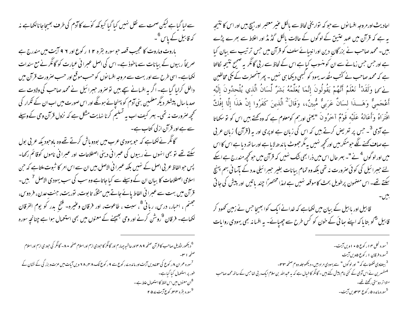سے لیا گیاہے لیکن صحت سے نقل نہیں کیا گیا کیونکہ کوّے کاآدم کی طرف بھیجاجانالکھاہے نہ کہ قابیل کے پاس <sup>6</sup>ے

باروت وماروت کا عجیب قصہ حو سورہ بقرہ ۱۲ ر کوع اور ۹۶ آیت میں مندرج ہے صریحاً ربیوں کے بیانات سے ماخوذ ہے۔ اس کی اصل عبرانی عمارت کو گائگر نے مع سندات لکھاہے۔ اسی طرح سے اور بہت سے مروجہ افسانوں کو حسب موقع اور حسب صرورت قرآن میں داخل کرلیا گیا ہے۔ اگر یہ افسانے سچے ہیں تو صرور حبیرا ئیل نے محمد صاحب کی ولادت سے صد پاسال پیشتر دیگر معلمین بنی آدم کو پہنچائے ہوئگے اور اس صورت میں اب ان کے تکرار کی تحچھ صرورت نہ تھی۔ بہر کیف اب یہ تسلیم کرنا نہایت مشکل ہے کہ نزول قرآن وحی کے وسیلے سے ہے اور قرآن ازلی کتاب ہے۔

گائگر نےکھاہے کہ حو یہودی عرب میں بودو باش کرتے تھے وہ باوجود یکہ عربی بول سکتے تھے تو بھی انہوں نے ربیوں کی عبرانی دینی اصطلاحات اور عبرانی ناموں کوقائم رکھا-پس حبو الفاظ عربی اصل کے نہیں بلکہ عسرا فی الاصل بیں ان سے اس امر کا ثبوت ملتاہے کہ حن اسلامی اصطلاحات کا بیان ان کے وسیلے سے کیا جاتاہے وہ سب کی سب یہودی الاصل <sup>7</sup> بی<sub>ں۔</sub> قرآن میں بہت سے عسرا فی الفاط پائے جاتے بیں مثلاً، تا بوت، نوریت، جنتِ عدن، فر دوس، جضتم ، احبار، درس، ربا نی<sup>8</sup>، سبت ، طاعوت، اور فرقان وعنیره- فتح بدر کو یوم الفرقان لکھاہے۔ فرقان <sup>9</sup>روشن کرنے اور وحی بھیجنے کے معنوں میں بھی استعمال ہوا ہے چنانچ<sub>ہ</sub> سورہ

<sup>6</sup> دیخ<del>و</del>راڈویل صاحب کا قرآن صفحه ۹ ۸ ۴ اورحاشیه چهارم اور گائگر کاحبودی ازم اوراسلام صفحه ۸۰- گائگر کی حبود ی ازم اوراسلام صفحه النين ۔<br><sup>7</sup>سورہ عمران ۸ رکوع کی **۲**۷مویں آیت اور مائدہ ۷ رکوع سے ۹ رکوع تک ۸ میں ۲۸ ویں آیات میں عزت و بزرگی کے نشان کے طور پر استعمال کیا گیاہے۔ <sup>8</sup>ان معنوں میں اس لفظ کا استعمال علط ہے ۔ <sup>9</sup>سوره بقره ۴۳ کوع آیت ۲۵۷

احادیث اور مروجہ افسانوں سے حو کہ نواریخی لحاظ سے بالکل عنیر معتبر اور ہیچ بیں اور اس کا نتیجہ یہ ہے کہ قرآن میں عہد عتیق کے لوگوں کے حالات بالکل گڈیڈ اور اعلاط سے بھرے پڑے بیں۔محمد صاحب نے بزر گان دین اورانبیائے سلف کو قرآن میں جس ترتیب سے بیان کیا ہے اور جس جس زمانے سے ان کو منسوب کیا ہے اس کے لحاظ سے ر بی گائگر یہ صحیح نتیجہ لکالتا ہے کہ محمد صاحب نے کٹب مقُدسہ یہود کو کسجی دیکھا ہی نہیں۔ پھر آنمحضرت کے مکی مخالفین نحُمها وَلَقَدْ ۚ نَعْلَمُ أَنَّهُمْ يَقُولُونَ إِنَّمَا يُعَلِّمُهُ بَشَرٌ لِّسَانُ الَّذِي يُلْحِدُونَ إِلَيْه أَعْجَميٌّ وَهَـــٰذَا لِسَانٌ عَرَبيٌّ مُّبِينٌ،، وَقَالَ<sup>2</sup> الَّذِينَ كَفَرُوا إِنْ هَذَا إِلَّا إِفْكٌ افْتَرَاهُ وَأَعَانَهُ عَلَيْه قَوْمٌ آخرُونَ "يعني <sub>اور</sub>بم كومعلوم ہے كہ وہ كھتے ہيں اس كو نوسكھاتا ہے آدمی <sup>3</sup>ے جس پر تعریض کرتے ہیں کہ اس کی زبان ہے اوپری اور بہ (قرآن) زبان عربی ہے صاف کینے لگے حبومنکر بیں اور تحچیہ نہیں بیرمگر حصوٹ یا ندھ لا ماہے اور ساتھ دیا ہے اس کا اس میں اور لو گوں <sup>4</sup> نے "۔ ہہر عال اس میں ذرا بھی ش*ک نہیں* کہ قرآن میں حو *کچھ مند د*ج ہے اسکے لئے حبیرائیل کی کوئی صرورت نہ تھی بلکہ وہ تمام بیانات بغیر حبیرائیلی مدد کے مآسا فی بہم پہنچ سکتے تھے۔ اس مصنمون پرطویل بحث کاموقعہ نہیں ہے لہذا مختصراً چند باتیں اور پیش کی جاتی

قابیل اور ہابیل کے بیان میں لکھاہے کہ خدانے ایک کوا بھیجا جس نے زمین کھود کر قابیل <sup>4</sup>کو بتایا کہ اپنے سائی کے خون کو <sup>کس</sup> طرح سے جھیائے۔ یہ افسانہ بھی یہودی روایات

<sup>1</sup>سوره نحل ۴ <sub>ا</sub> رکوع ۵ • ۱ ویں آیت۔ <sup>2</sup>سوره فرقان ۱ رکوع ۵ویں آیت <sup>3</sup> بیضاوی لکھتاہے کہ " اور لوگوں " سے یہودی مراد بیں۔دیکھوجلد دو م صفحہ ۳۳۔ <sup>4مف</sup>سرین نے اس آدمی کے کئی نام پیش کئے ہیں۔ گائگر کا خیال ہے کہ یہ عبداللہ بن سلام ایک ر بی ت<del>عا</del>حس کے ساتھ محمد صاحب متواتر دوستی رکھتے تھے۔ <sup>5</sup>سوره مائده ۵ ر کوع ۴**۳۴ پ**س آیت -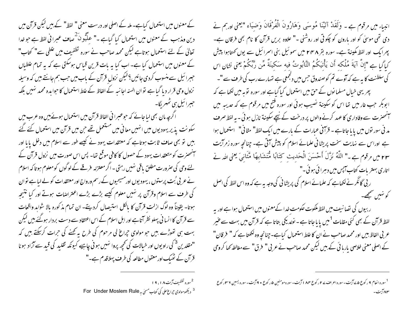کے معنوں میں استعمال کیاہے۔ ملہ کے اصلی اور درست معنی " لفظ" کے ہیں لیکن قرآن میں دین ومذہب کے معنوں میں استعمال کیا گیاہے ۔" علَّیُّونَ کُھاف عبرانی لفظ ہے جو خدا تعالیٰ کے لئے استعمال ہوتاہے لیکن محمد صاحب نے سورہ تطفیف میں غلطی سے" کتاب" کے معنوں میں استعمال کیا ہے۔ اب کیا یہ بات قرین قباس ہوسکتی ہے کہ یہ تمام علطباں حببرائیل سے منسوب کردی جائیں <sup>9</sup>لیکن نزول قرآن کے باب میں حب ہم جانتے بیں کہ وسیلہ نزول وحی قرار دیا گیا ہے نوان السنہ اجانبہ کے الفاظ کے غلط استعمال کا حوا بدہ محمد نہیں بلکہ حبیرائیل ہی ٹھهریگا۔

گرچہ مان بھی لیا جائے کہ حوعبرا فی الفاظ قرآن میں استعمال ہوئے بیں وہ عرب میں سکونت پذیر یہودیوں میں انہیں معانی میں مستعمل تھے جن میں قرآن میں استعمال کئے گئے بیں تو بھی صاف ثابت ہوتاہے کہ معتقدات یہود نے کیسے طور سے اسلام میں دخل یایا اور سنمحضرت کو متعقدات یہود کے حصول کا کافی موقع تھا۔ پس اس صورت میں نزول قرآن کے لئے وحی کی صرورت مطلق باقی نہیں رہتی ۔اگر معتزلہ خرقے کے لوگوں کومعلوم ہوتا کہ اسلام نے عربی بُت پرستوں ، یہودیوں اورمسیحیوں کے رسم ورواج اور معتقدات کو لے لباہے نوان کی طرف سے اسلام وقرآن پر نہیں معلوم کیسے بڑے بڑے اعتراضات ہوتے اور کیا نتیجہ ہوتا- يقيناً وہ لوگ ازلت قرآن كا بالكل استيصال كرديئے- ان تمام مذكورہ بالا شواہد واقعات سے قرآن کا انسا فی پہلو نظر آتاہے اور اہل اسلام کے اس اعتقاد سے دست بردار ہوگئے، بیں لیکن بہت ہی تھوڑے بیں حو مولوی حراع لی مرحوم کی طرح یہ کھنے کی حرات کرسکتے ہیں کہ "مقلدین<sup>3</sup> کی راویوں اور خیالات کی تح<sub>جھ</sub> پروا نہیں ہو نی چاہیے کیونکہ تقلید کی قید سے آزاد ہونا قرآن کے ٹھیک اور معقول مطالعہ کی طرف پہلاقدم ہے۔"

<sup>2</sup>سوره تطفیف آیت ۱۹، ۱۹ <sup>3</sup> دیکھومولوی *چراغ عل*ی کی کتاب مسمٰی یہ For Under Moslem Rule ہیکھومولوی *چ*راغ علی کی کتاب

انبیاء میں مرقوم ہے ۔ وَلَقَدْ آتَیْنَا مُوسَى وَهَارُونَ الْفَرْقَانَ وَضِيَاء "یعنی <sub>اور</sub>ہم نے دی تھی موسیٰ کو اور بارون کو چکوتی اور روشنی -" علاوہ بریں قرآن کا نام بھی فرقان ہے۔ پھرایک اور لفظ مکینۃ ہے۔ سورہ بقر ۲۴۸ میں سموئیل بنی اسمرائیل سے یوں کھتاہوا پیش كِمَاكِمَا ہِے "إِنَّ آيَةَ مُلْكَه أَن يَأْتِيَكُمُ التَّابُوتُ فيه سَكينَةٌ مِّن رَّبِّكُمْ يعني نثانِ اس کی سلطنت کا بہ ہے کہ آوے تم کوصندوق حس میں دلجمعی ہے تہارے رب کی طرف سے "۔ پھر یہی خیال مسلما نوں کے حق میں استعمال کیا گیاہے اور سورہ توبہ میں لکھا ہے کہ ابوبکر جب عار میں تھا اس کو سکینۃ نصیب ہوئی اور سورہ فتح میں مرقوم ہے کہ حدیبہ میں ۔<br>سنحصرت سے وفاداری کا عہد کرنے والوں پر درخت کے نیچے سکینۃ نازل ہو ئی - یہ لفظ صر**ف** مد فی سور نوں میں یا یا جاتاہے - قرآفی عبارات کے بارے میں ایک لفظ'' مثانی'' استعمال ہوا ہے اوراس سے نہایت سخت پریشا فی علمائے اسلام کو پیش آتی ہے۔ چنانچہ سورہ زمرآیت ٢٣ ميں مرقوم ہے۔" اللَّهُ نَزَّلَ أَحْسَنَ الْحَديثِ كَتَابًا مُّتَشَابِهًا مَّتَانِيَ يعني الله نے اتاری بهتر بات کتاب آبس میں دہرائی ہوئی۔" ر بی گائگر نے لکھاہے کہ علمائے اسلام کی پریشا نی کی وجہ یہ ہے کہ وہ اس لفظ کی اصل

کو نہیں صمجھے۔ ر بیوں کی تصانیف میں لفظ ملکوت حکومت خدا کےمعنوں میں استعمال ہوا ہے اور یہ لفظ قرآن کے بھی کئی مقامات <sup>1</sup>میں پا یا جاتا ہے - نولد یکی بتاتا ہے کہ قرآن میں بہت سے عنیر عر في الفاظ بيس اور محمد صاحب نے ان كا علط استعمال كياہے۔چنانچہ وہ لكھتا ہے كہ " فرقان" کے اصلی معنی خلاصی بارہا ئی کے بیں لیکن محمد صاحب نے عربی " فرق" سے مغالطہ کھا کروحی

<sup>1</sup> سوره انعام ۹ رکوع ۵ <mark>۲ آیت - سوره اعراف ۲ ار کوع ۸۴ ا آیت - سوره مومنین ۵ رکوع ۹ <sup>4</sup> آیت - سوره یسین ۲ <sup>س</sup>ار کوع</mark> ۸۳ آیت۔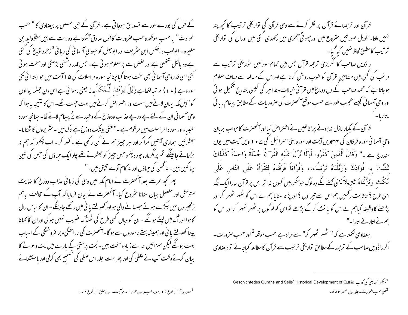کے قول کی پورے طور سے تصدیق ہوجاتی ہے۔ قرآن کے حن حصص پر بیضاوی کا" حسب الحوادث" با حسب موقعہ وحسب صرورت کاقول صادق آسکتا ہے وہ بہت سے ہیں مثلاً ولید بن مغیرہ ۔ ابولهب ، ا<sup>ف</sup>ئٹس ابن س<sub>ٹر</sub>یف اور ابوجہل کو حبووحی آسما نی کی ریا <sup>ن</sup>ی <sup>3</sup> زحرو توبیخ کی گئی ہے وہ بالکل شخصی ہے اور بغض سے پر معلوم ہو تی ہے۔ جس قدر دشمنی بڑھتی اور سخت ہو تی گئی اسی قدر وحی آسما فی بھی سخت ہوتا گیا چنانچہ سورہ مراسلات کی ۵**۱** آیت میں حوابتدا ئی مکی سورہ ہے ( • ۱ ) مر تبہ لکھاہے وَیْلٌ یَوْمَعَنْہ لِّلْمُکَنَّدِّینَ یعنی رسوائی ہے اس دن جھٹلانیوالوں کو "اہل مکہ ایمان لانے میں سست اور اعتراض کرنے میں بہت جیت تھے۔اس کا نتیجہ یہ ہوا کہ وحی آسما فی ان کے لئے پے درپے عذاب ودوزخ کے وعید سے پرُ پیغام لانے لگا۔ چنانچہ سورہ النبساء اور سورہ الر اسلت میں مرقوم ہے ۔"یعنی بیشک دوزخ ہے تاک میں - سٹریروں کا ٹھکانا-جھٹلائیں ہماری آیتیں مکرا کر اور ہر جییز ہم نے کن رکھی ہے ۔ لکھ کر ۔ اب چکھو کہ ہم نہ بڑھاتے جائینگے تم پر مگرمار، چلو دیکھو جس چیز کو جھٹلاتے تھے چلوایک جہاؤں کی جس کی تین پچا کیں بیں۔ نہ تھن کی حیاوَں اور نہ کام آوے تبشِ میں۔"

پھر کچھ عرصے بعد آنمحضرت نے اپام مکہ میں وحی کی زبانی عذاب دوزخ کا نہایت متوحش اور مفصل ببان سنانا سثروع کیا- آنمحصرت نے بیان فرمایا کہ آپ کے مخالف باہم زنجیروں میں جکڑے ہوئے حصلسانے والی ہو اور تھولتے یا فی میں رکھے جاوینگے۔ان کا لباس رال کاہوا اور گُل میں لپیٹے ہوئگے ۔ ان کو وہاں کسی طرح کی ٹھنڈک نصیب نہیں ہو کی اوران کا کھانا پینا کھولتے یا ٹی اور ہمیش*ہ بہتے* ناسوروں سے ہو گا۔انحصرت کی ناراضگی و برافر وخفک<sub>ی کے اسباب</sub> بہت ہونگے لیکن سمزائیں حد سے زیادہ سخت ہیں۔ بُت پرستی کے بارے میں لات وعز لے کا بیان کرتے وقت آپ نے علطی کی اور پھر بہت جلد اس علطی کی تصحیح بھی کرلی اور باستشنائے

قرآن اور ترجمہائے قرآن پر نظر کرنے سے وحی قرآن کی تواریخی ترتیب کانحچھ پتہ نہیں ملتا۔ طویل صور تیں سٹروع میں اور چھو ٹی آخری میں رکھدی گئی بیں اوران کی تواریخی ترتيب كامطلق لحاظ نهبيں كيا گيا۔

راڈویل صاحب کاا نگریزی ترحمہ قرآن جس میں تمام سورتیں تواریخی ترتیب سے مر تب کی گئی بیں مضامین قرآن کو حنوب روشن کرتا ہے اوراس کے مطالعہ سے صاف معلوم ہوجاتا ہے کہ محمد صاحب کے دل ودماغ میں قرآنی خیالات و تدابیر کی کیسی بتدریج تکحمیل ہوئی اور وحی آسمانی کیسے عجیب طور سے حسب موقع آنھھنرت کی صروریات کے مطابق پیغام ربانی

قرآن کے یکبار نازل نہ ہونے پر مخالفین نے اعتراض کیا اور آنحصرت کا حواب بزبان وحي آسما في سوره فرقان کی ۴۳مويں آيت اور سوره بنی اسمرا ئيل کی ۲۰۰ ويں آيت ميں يوں مندرج ہے ۔" وَقَالَ الَّذِينَ كَفَرُوا لَوْلَا نُزِّلَ عَلَيْهِ الْقُرْآنُ جُمْلَةً وَاحِدَةً كَذَلِكَ لِنُتِّبَتَ بِهِ فُؤَادَكَ وَرَتَّلْنَاهُ تَرْتِيلًا،،، وَقُرْآناً فَرَقْنَاهُ لِتَقْرَأَهُ عَلَى النَّاسِ عَلَى مْکُث وَنَزَّلْنَاهُ تَترِيلاً يعني کَھنے لگےوہ لوگ حومنکر ہیں کیوں نہ اترااس پر قرآن ساراایک جگہ اسی طرح ؟ تاثابت رکھیں ہم اس سے تیر ادل ؟ اور پڑھ سنایا ہم نے اس کو ٹھہر ٹھہر کر اور پڑھنے کاوظیفہ کیاہم نے اس کو یا نٹ کرکے پڑھے نواس کولوگوں پر ٹھہر ٹھہر کراور اس کو ہم نے اتارتے اتارا۔"

بیضاوی لکھتاہے کہ " ٹھہر ٹھہر کر" سے مراد ہے حب موقعہ<sup>2</sup> اور حب صرورت۔ اگر راڈویل صاحب کے ترحمہ کےمطابق نواریخی ترتیب سے قرآن کامطالعہ کباجائے نو بیضاوی

> <sup>1</sup> دیکھو نولدیکی کی کتاب Geschlchtedes Qurans and Sells' Historical Development of Qurán حمليٰ حسب الحوادث - جلد اول صفحه ٥٣ ه -

<sup>3</sup>سوره مد ثر ۱ رکوع ۹ ا ، سوره لهب وسوره حمزه ۱ - ۷ آیت- سوره علق ۱ رکوع ۲ - ۷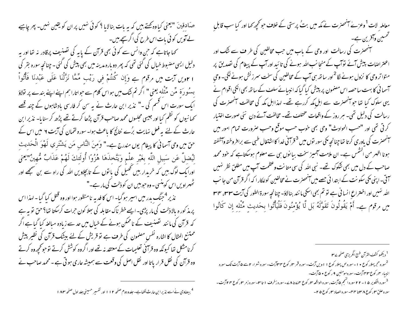صکادقینَ "یعنی کیاوہ گھتے، بیں کہ یہ بات بنالایا ؟ کوئی نہیں پر ان کو یقین نہیں۔ پھر چاہیے لے آویں کو ئی بات اس طرح کی اگر سچے ہیں۔ کھا جاتاہے کہ حن وانس سے کوئی بھی قرآن کے پایہ کی تصنیف پرقادر نہ تھا اور یہ دلیل ایسی مضبوط خیال کی گئی تھی کہ پھر دوبارہ مدینہ میں بھی پیش کی گئی - چنانچہ سورہ بقر کی ا ٢ویں آیت میں مرقوم ہے وَإِن کُنتُمْ فِي رَيْبِ مِّمَّا نَزَّلْنَا عَلَى عَبْدِنَا فَأْتُواْ بہنٹو رَۃ مٹّن مٹّنْله یعنی " اگر تم شک میں ہواس کلام سے حواتارا ہم اپنے اپنے بندے پر نولاؤ ایک سورت اس قسم کی ۔" نذیر ابن حارث نے یہ سن کر فارسی بادشاہوں کے چند قصے کھانیوں کو نظم کیا اور جیسی مجلسوں محمد صاحب قرآن پڑھا کرتے تھے پڑھ کر سنایا۔ نذیر ابن حارث کے لئے یہ فعل نہایت برُے نتائج کا باعث ہوا۔ سورہ لقمان کی آیت ۲ میں اس کے حقٌّ ميں وحي آسما في كا پيغام يوں مندرج ہے۔" وَمنَ النَّاس مَن يَشْتَري لَهْوَ الْحَديث ليُضلَّ عَن سَبيلِ اللَّه بغَيْرِ علْمٍ وَيَتَّخذَهَا هُزُواً أُولَئكَ لَهُمْ عَذَابٌ مُّهينٌ"لِعنِي اورایک لوگ بیں کہ خریدار بیں تھیل کی یا توں کے تابچلاویں اللہ کی راہ سے بن سمجھے اور ٹھہراویں اس کو بنسی - وہ حوہیں ان کو ذلت کی مار ہے۔" نذیر <sup>4</sup>جنگ بدر میں اسپر ہو گیا۔ اس کا فدیہ نامنظور ہوا اور وہ قتل کیا گیا ۔ لہذا اس پرمذ کور ہ بالاذلت کی مار پڑمی۔ ایسے خطر ناک مقابلہ کی ہعلا کون حرات کرسکتا تھا؟حق تو ہہ ہے کہ قرآن کی ما نند تصنیف کے ناممکن ہونے کے خبال میں حد سے زیادہ مبالغہ کیا گیا ہے اگر ممتنع المثال کا اشارہ نفس مصمون کی طرف ہے تو قریش کے لئے بیٹک قرآن کی نظیر پیش کرنامشکل تھا کیونکہ وہ قرآنی تعلیمات کے معتقد نہ تھے اور اگروہ کوشش کرتے توحو کحچھ وہ کرتے

وہ قرآن کی نقل قرار پاتا اور نقل اصل کی وقعت سے ہمیشہ عاری ہو تی ہے ۔ محمد صاحب نے

<sup>4</sup> بیضاوی نے اسے نذیر ابن حارث لکھاہے۔ جلدو دوم صفحہ ۱۱۲ اور تفسیر حسینی جلد اول صفحه ۱۸۳

معاملہ ِ لات <sup>1</sup>وعزےٰ اسمُصرٰت نے مکہ میں بتُ پرستی کے خلاف حو *محچھ کھ*ا اور کیا سب قابلِ تحسین وآفرین ہے۔ سنمحضرت کی رسالت اور وحی کے باب میں حب مخالفین کی طر ف سے نٹک اور اعتراضات پیش آئے توآپ کے منعاِ نب اللہ ہونے کی تائید اور آپ کے پیغام کی تصدیق پر متواتر وحی کا نزول ہونے لگا<sup>2</sup>اور ساتھ ہی آپ کے مخالفین کی سخت سمرز نش ہونے لگی۔ وحی ۔<br>سمبانی کا بہت ساحصہ اس مضمون پر پیش کیا گیا کہ انبی<u>ائے سلف کے ساتھ بھی</u> انکی اقوام نے یہی سلوک کیا تھا حو آنٹھنرت سے اہل کمہ کررہے تھے۔ لہذااہل مکہ کی مخالفت آنٹھنرت کی رسالت کی دلیل تھی۔ ہر روز کے واقعات مختلف تھے۔ مخالفت آئے دن نئی صورت اختیار کرتی تھی اور "حسب الحوادث" وحی بھی خوب حسب موقع وحسب صرورت تمام امور میں سنمحضرت کی یاوری کرتا تھا چنانچہ بکی سور نوں میں <sup>3</sup> قرآنی خدا کا اشتغال طبی سے برافر وختہ وآشفتہ ہونا اظہر من اکتمس ہے۔ ان ملامت آمیز سخت بیا نوں ہی سے معلوم ہوسکتاہے کہ خود محمد صاحب کے دل میں بھی شکوک تھے۔ نبی اللہ کی سی متانت وعظمت آپ میں مطلق نظر نہیں سمق۔ اپنی مکی سکونت کے ابتدائی حصے میں آنتھنرت نے مخالفین کوللکار ا کہ اگر قرآن من جانب الله سنہیں اور اختتراعِ انسا فی ہے تو تم بھی اسکی ما نند بنالاؤ- چنانچہ سورۃ الطور کی آیت ۳۳، مہیل مِيں مرقوم ہے۔ أَمْ يَقُولُونَ تَقَوَّلَهُ بَل لَّا يُؤْمِنُونَ فَلْيَأْتُوا بِحَدِيثٍ مِّتْلِهِ إِن كَانُوا

<sup>1</sup> دیکھو کشف القرآن طبع انگریزی صفحہ **۲۷ پ** <sup>2</sup>سورہ حم<sub>جہ</sub>بلار کوع • ۱ - سورہ ص پہلار کوع ۱ اوپں آیت۔سورہ قمر <sup>س</sup>ار کوع ۳ ساآیت۔سورہ شعراء ۲ سے ۵ آیت تک سورہ انبیاء ۶ رکوع ۳۳ آیت۔سورہ مومنین ۹ رکوع • ۵ آیت۔ <sup>3</sup>سوره التکویر ۱۵ - ۲۲ سوره النځم ۲۵ <sup>ب</sup>یت، سوره الواقعه ۳ر کوع ۲۴ تا ۷۸- سوره زخر**ت ۱** تاس<sup>س</sup>- سوره زمر ۳ رکوع ۴ ۲ آیت -سوره علق <mark>۳ رکوع ۸ <sup>س</sup>اتا ۴ م</mark>-سوره الصاد ۲ رکوع ۴ ۵ -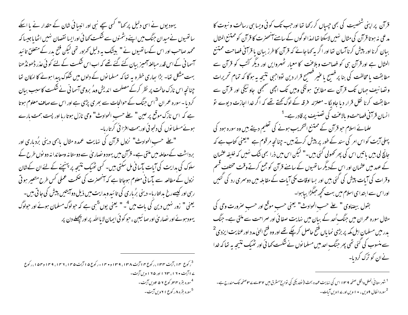قرآن پراپنی شخصیت کی بھی جیساں کر رکھا تھا اور حب تک کوئی ویسا ہی رسالت و نبوت کا مدعی نہ ہوتا قرآن کی مثال نہیں لاسکتا تھا لہذا لو گوں کے سامنے آنھھنر ت کا قرآن کو ممتنع المثال ببان کرنا اور پیش کرنا آسان تھا اور اگر بہ <sub>ک</sub>ھا جائے کہ قرآن کا طرز ببان یا قرآنی فصاحت ممتنع المثال ہے اور قرآن ہی کو فصاحت وبلاعنت کا معیار ٹھہروایں اور دیگر کٹتب کو قرآن سے مطابقت یا مخالفت کی بنا پر فصبح یا عنیر فصحیح قرار دین توواجبی نتیجه به ہوگا کہ تمام تحریرات و تصانیف جہاں تک قرآن سے مطابق ہونگی وہیں تک اچھی سمجھی جاونیگی اور قرآن سے مطابقت کرنا نقل قرار دیا جاویگا - معتزلہ فرقہ کے لوگ کھتے تھے کہ اگر خدا اجازت دیوے تو انسان قرآ<sup>م</sup>ی فصاحت و بالاعنت کی تصنیف پر قادر ہے۔<sup>1</sup>

علمائے اسلام حو قرآن کے ممتنع التخریب ہونے کی تعلیم دیتے بیں وہ سورہ ہود کی پہلی آیت کو اس امر کی سند کے طور پر پیش کرتے ہیں۔ چنانچہ مرقوم ہے "یعنی کتاب ہے کہ جانچ لی بیں پاتیں اس کی پھر تھولی گئی بیں-" لیکن اس میں ذرا بھی شک نہیں کہ خلیفہ عثمان کے عہد میں عثمان اور اس کےدیگر ساتھیوں کے سامنے قرآن کو جمع کرتے وقت مختلف قسم وقرات کی آیات پیش کی گئی بیں اور بسا اوقات پکی آیات کے مقابلہ میں دوسری رد کی گئیں اوراس سے ابتدا ی اسلام میں بہت کحچھ حِمَلَڑا بیاہوا۔

بقول بيضاوي " على حسب الحوادث" يعني حسب موقع اور حسب صرورت وحي كي مثال سورہ عمر ان میں جنگ اُحد کے بیان میں نہایت صفا ئی اور صراحت سے ملتی ہے۔ جنگ بدر میں مسلمان اہل مکہ پر بڑی نما ماں فتیح حاصل کرچکے تھے اور وہ فتیح ال<sub>ن</sub>یٰ مدد اورعنایت ایزدی<sup>2</sup> سے منسوب کی گئی تھی پھر جنگ احد میں مسلما نوں نے شکست کھا ئی اور ٹھیک نتیجہ بہ تھا کہ خدا نےان کو ترک کردیا۔

<sup>1</sup> شہرستانی الملل والخل صفحہ ۱۳۹ اس کی نہایت عمدہ بحث ( نولدیکی کی تواریخ مشرق میں ۳۲س*ت ۲*۳صفحہ تک مندرج ہے۔ <sup>2</sup>سوره انفال ۹ ویں ، • ۱ ویں اور ۱ اویں آیات۔

یہودیوں نے اسی دلیل پر <sub>ک</sub>ما" کسی سچے نبی اور انببائی شان کے حقدار نے یا اسکے ساتھیوں نےمیدان جنگ میں اپنے دشمنوں سے شکست کھائی اورایسا نقصان نہیں اٹھا یاجیسا کہ محمد صاحب اور اس کےساتھیوں نے " بیشک یہ دلیل کھرور تھی لیکن فتح بدر کے متعلق تائید آسما ٹی کے اس قدر مبالغہ آمیز بیان کئے گئے تھے کہ اب اس شکست کے لئے کو ٹی عذر ڈھونڈھنا بہت مشکل تھا۔ بڑا ہجاری خطرہ یہ تھا کہ مسلمانوں کے دلوں میں شکوک پیدا ہونے کا امکان تھا چنانچہ اس نازک حالت پر نظر کرکے مصلحت اندیش ومڈ بروحی آسما ٹی نے شکست کا سبب بیان کردیا - سورہ عمران <sup>3</sup>اس جنگ کے حوالحات سے بھری پڑ<sub>ی</sub> ہے اور اس سے صا**ف معلوم** ہوتا ہے کہ اس نازک موقع پر عین " علے حسب الحوادث" وحی نازل ہوتا رہا اور پست ہمت بارے ہوئےمسلما نوں کی دلجو ٹی اور ہمت افرا ٹی کرتارہا۔

" علے حسب الحوادث" نزول قرآن کی نہایت عمدہ مثال پاہمی دینی برُدباری اور برداشت کےمعاملہ میں ملتی ہے۔ قرُّان میں یہود و نصار پیٰ سے دوستا نہ ومعاندانہ دو نوں طرح کے سلوک کی ہدایت کی آبات پآسا نی مل سکتی ہیں۔ کسی ٹھیک نتیجہ پر پہنچنے کے لئے ان کے شان نزول کے مطالعہ سے پآسا نی معلوم ہوجاتا ہے کہ آنحصرت کی حکمت عملی کس طرح متعیر ہو تی رہی اور کیسے رخ بدلتار با۔ دینی برُباری کی تائبید وہدایت میں ذیل دو آیشیں پیش کی جا تی بیں۔ یعنی " زور نہیں دین کی بات میں<sup>4</sup>۔ " یعنی یوں<sup>5</sup>ہی ہے کہ حولوگ مسلمان ہوئے اور حولوگ یهود ہوئے اور نصاریٰ اور صائیبن ، حو کوئی ایمان لایا اللہ پر اور پچھلے دن پر

<sup>3</sup> رکوع ۱۴، آیت ۱۳۴، رکوع ۲ اآیت ۱۳۸، ۱۳۹، و ۱۴۰-رکوع ۵ اآیت ۱۴۵، ۱۴۶، ۱۴۹، ۱۴۹ در ۱۵ ، رکوع ۷ ایت ۱۶۰، ۱۶۳ اور ۱۹۵ ویں آیت-<sup>4</sup>سوره بقره ۴۵۶ کوع ۲۵۶ ویں آیت۔ <sup>5</sup>سوره بقره ۸ ر کوع ۲۱ ویں آیت۔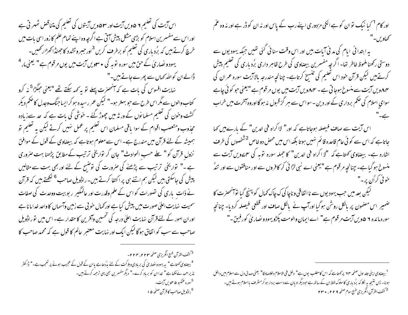اس آیت کی تعلیم ۶ ۵ویں آیت اور ۴۰۰ دیں آیتوں کی تعلیم کی متناقض ٹھهر تی ہے اور اس سے مفسرین اسلام کو بڑی مشکل پیش آتی ہے اگرچہ وہ اپنے تمام علم کا زور اسی بات میں خرچ کرتے ہیں کہ برُد ماری کی تعلیم کو برطر**ف** کریں<sup>3</sup>اور *جبر* وتشدد کا جھنڈا کھڑار *کھی*ں۔ یہود و نصاریٰ کے حق میں سورہ نوبہ کی • س**یویں آیت میں یوں مرقوم ہے " یعنی م**ار<sup>4</sup> ڈالے ان کوالٹد کہاں سے پھرےجاتے ہیں۔" نہایت افسوس کی بات ہے کہ آنحصرت پہلے تو بہ *کہہ سکتے تھ*ے "یعنی حبگڑا<sup>5</sup> نہ کرو کتاب والوں سے مگر اس طرح سے حو بہتر ہو۔" لیکن عمر رسیدہ ہو کر ایساجنگ وجدل کا صحم دیکر کشت وحون کی تعلیم مسلما نوں کے ور ثہ میں چھوڑ گئے ۔ حوشی کی بات ہے کہ حد سےزیادہ مجذوب ومتعصب اقوام کے سوا باقی مسلمان اس تعلیم پر عمل نہیں کرتے لیکن یہ تعلیم تو ہمیشہ کے لئے قرآن میں مندرج ہے۔اس سے معلوم ہوتاہے کہ بیضاوی کے قول کے موافق نزولِ قرآن کو " علے حسبِ الحوادث" جان کر نواریخی ترتیب کے مطابق پڑھنا بہت صروری ہے ۔" تواریخی ترتیب سے پڑھنے کی صرورت کی توضیح کے لئے اور بھی بہت سے مثالیں پیش کی جاسکتی بیں لیکن ہم اتنے ہی پر اکتفا کرتے ہیں۔ راڈویل صاحب <sup>6</sup> لکھتے ہیں کہ قرآن نے ذات پاری کی نصورات کو اس کے علم وقدرت اور عالمگیر پر بوبیت ووحدت کی صفات سمیت پناپت اعلیٰ صورت میں پیش کیا ہے اور محمال حو بی سے زمین وآسماں کا واحد خداما نا ہے اوران امور کے لئےقرآن نہایت اعلیٰ درجہ کی تحسین وآفرین کا حقدار ہے۔اس میں توراڈویل صاحب سے سب کو اتفاق ہو گا لیکن ایک اور نہایت معتبرِ عالم کا قول ہے کہ محمد صاحب کا

<sup>3</sup> كشف القرآن طبع انگريزي صفحه ۲۲۴، ۲۲۴– <sup>4</sup> بیضاوی <sub>گ</sub>ھتاہے" یہ یہودو نصاریٰ کی بربادی وہلاکت کے لئے مدُدعاہے یاان کے قول کے عجیب ہونے پر تعجب ہے۔" ڈاکٹر نذیراحمد نےلکھاہے" خداان کو برباد کرے۔" دیگرمفسرین بھی یہی ترحمہ کرتے ہیں۔ <sup>5</sup>سورہ عمکبو **۵ <sup>س</sup>ہویں آیت۔** <sup>6</sup>راڈویل صاحب کا قرآن صفحہ ۵ ا

اور کام <sup>1</sup> کیا نیک نوان کو ہے انکی مزدوری اپنے رب کے پاس اور نہ ان کو ڈر ہے اور نہ وہ عم كھاويں-" یہ ابتدا ئی ایام کی مدنی آیات بیں اور اس وقت سنا ئی گئی تھیں جبکہ یہودیوں سے دوستی رکھنا ملحوظ خاطر تھا۔ اگر چہ مفسرین بیضاوی کی طرح ظاہر داری برُد ماری کی تعلیم پیش کرتے ہیں لیکن قرآن خود اس تعلیم کی تنسیخ کرتاہے۔ چنانچہ مندرجہ بالاآیت سورہ عمران کی ۸۴دیں آیت سے منسوخ ہوجا تی ہے ۔ ۸۴دیں آیت میں یوں مرقوم ہے "یعنی حو کوئی چاہے سواي اسلام کی حکم برداری کے اور دین - سواس سے مبر گز قسول نہ ہو گا اوروہ آخرت میں خراب اس آیت سے صاف فیصلہ ہوجاتاہے کہ اور" لااکراہ فی الدین" کے بارےمیں کھا جاتاہے کہ اس سے کو ٹی عام قاعدہ قائم نہیں ہوتا بلکہ اس میں محص دو خاص <sup>2 شخ</sup>صوں کی طرف اشارہ ہے۔ بیضاوی کھتاہے کہ "لا اکراہ فی الدین" کا حملہ سورہ توبہ کی سمےویں آیت سے منسوخ ہو گیا ہے۔ چنانچہ مر قوم ہے "یعنی اے نبی لڑا ئی کر کافروں سے اور منافقوں سے اور تندُ

خو ئې کراُن پر -" لیکن بعد میں حب یہودیوں سے نااتفاقی وناچا کی ک چاک <sub>محم</sub>ال کو پہنچ گیا تو *انھز*ت کا ضمیر اس مصمون پر بالکل روشن ہو گیا اورآپ نے بالکل صاف اور قطعی فیصلہ کردیا- چنانچہ سورہ مائدہ ۲ ھویں آیت مرقوم ہے" اے ایمان والومت پکڑو یہود و نصاریٰ کورفیق۔"

<sup>1</sup> بیضاوی اپنی حلد اول صفحه ۲۴ پر ک<sup>م</sup>تاہے کہ اس کامطلب یوں ہے" دخل فی الاسلام دخلاصادقا" یعنی صدق دل سے اسلام میں داخل ہونا۔ پس نتیجہ یہ لکا کہ برُد ماری کاسلوک لفظ ان کے ساتھ ہے حبود یگرادیان سے دست بردار ہو کر مشرف مااسلام ہوتے ہیں۔ <sup>2</sup> كشف القرآن انگريزي طبع سوم صفحه ٢٢٩، ٢٣٠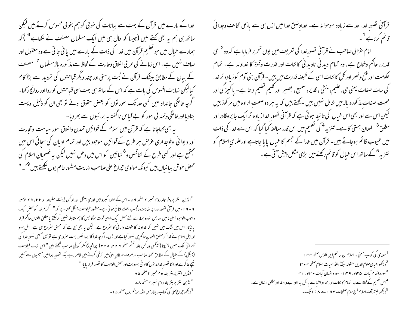خدا کے بارے میں قرآن کے بہت سے بیانات کی خوبی کو ہم بخوبی محسوس کرتے ہیں لیکن ساتھ ہی ہم یہ بھی <u>تھ</u>تے ہیں (جیسا کہ حال ہی میں ایک مسلمان مصنف نے لکھاہے<sup>6</sup> )کہ ہمارے خیال میں حبو تعلیم قرْآن میں خد ا کی ذات کے بارے میں یائی جاتی ہے وہ معقول اور صاف <sup>منہ</sup>یں ہے۔ اس زمانے کی عربی اخلاق وحالات کے لحاظ سے مذ کورہ بالامسلمان <sup>7</sup> مصنف کے بیان کے مطابق بیشک قرآن نے بُت پرستی اور چند دیگر قیاحتوں کی تردید سے بڑا کام کیالیکن نہایت افسوس کی بات ہے کہ اس کے ساتھ ہی بہت سی قیاحتوں کوروا اور روائج رکھا۔ اگرچہ خانگی جائداد میں کسی حد تک عور نوں کو بعض حقوق دئے نو بھی ان کو ذلیل وپست بناد یا اور خانگی و تمد نی امور کو بے قباس نا گفتہ ہہ برائیوں سے بھر دیا۔ بہ بھی کہاجاتا ہے کہ قرآن میں اسلام کے قوانین تمدن واخلاق امور سیاست وتحارت اور دیوانی وفوجداری عرِّض ہر طرح کےقوانین موجود بیں اور تمام ادبان کی سجائی اس میں مجتمع ہے اور کسی طرح کے تناقص و<sup>8</sup> تبائین کو اس میں دخل نہیں لیکن یہ فصحیان اسلام کی محض حوش ببا نباں بیں کیونکہ مولوی حجراع علی صاحب نہایت مشہور عالم یوں لکھتے ہیں <sup>6</sup>کہ "

<sup>6</sup> انڈین انٹر پر پٹر جلد دوم نمبر ۲ صفحہ 24 - اس کے علاوہ کبیرو میں اور ی پنٹل اور او کسی ڈینٹ مطبوعہ او ۲۲، ۲۹ نومبر ۹۰۹، میں قرآنی تصور خدا پر نہایت دلچپ بحث بٹائع ہوئی ہے۔مشور فیلوسف ہیگل کھتاہے کہ " اگر ہم خدا کو محض ایک واجب الوحبود ہمتی مانیں اور بس تووہ ہمارے لئے محض ایک ایسی قوت ہو گا جس کا ہم مقابلہ نہیں کرسکتے بامطلق العنان حاکم قرار پائیگا- اس میں شک میں نہیں کہ خداوند کا حوف دانائی کا سٹروع ہے۔ لیکن یہ بھی بچ ہے کہ محض سٹروع ہی ہے۔ اہل یہود اوراہل اسلام نے خدا کومطلق العنان حاکم ہی نصور کیاہے اور بس۔ اگر چہ خدا کا ایسا نصور بہت صروری ہے تو بھی مسیحی نصور خدا کی ٹھرائی تک نہیں پہنچنا (ہیگلں ور کس جلد شثم صفحہ ۲۲۱، ۲۳۸) چنانچہ ڈاکٹر کویلی صاحب لکھتے ہیں " اس بڑے فیلوسف (ہیگل) کے خیال کے مطابق محمد صاحب نہ صرف عرفانِ ال<sub>ٹ</sub>یٰ میں ترقی کرنے میں قاصر رہے بلکہ تصور خدامیں مسیحیوں سے کہیں سیپچ حاگرے اورا نکا تصور خدامد نوں کااد ٹی یہودیت اور محض الوہیت کا تصور قراریایا۔" <sup>7</sup> انڈین انٹر پریٹر جلد دوم نمبر ۲ صفحہ ۸۵۔ گانڈین انٹر پریٹر جلد دوم نمبر ۲صفحہ <u>۸</u>۷ <sup>9</sup> دیکھو حیراغ علی کی کتاب ریفارمس انڈر موزلم رول صفحہ <sub>ک</sub>ے ا ۔

قرآنی تصورِ خدا حد سے زیادہ موحوا نہ ہے۔ خدادِخلق خدا میں ازل ہی سے باہمی تحالف وجدا ئی قائم کرتاہے <sup>1</sup>۔

امام عزالی صاحب نے قرآنی تصورخدا کی تعریف میں یوں تحریر فرمایا ہے کہ وہ<sup>2</sup> حی قدیر، حاکم وفتاح ہے، وہ تمام دید نی نادید نی کائنات اور قدرت وقوۃ کا خداوند ہے۔ تمام حکومت اور فتح و نصر اور کل ُ کا ئنات اسی کے قبصۂ قدرت میں بیں۔ قرْآن بنی آدم کو زیادہ تر خدا کی سات صفات یعنی حی، علیم، منشی ، قدیر، سمیع ، بصبیر اور کلیم تعلیم دیتا ہے۔ یا کیمز گی اور محبت صفات مذ کورہ بالامیں شامل نہیں بیں ۔کہتے ہیں کہ یہ ہر دوصفت ارادہ میں مر کوز بیں لیکن اس سے اور بھی اس خیال کی تائید ہو تی ہے کہ قرآنی نصور خدا زیادہ ترایک جا بروقادر اور مطلق<sup>3</sup> العنان <sup>ہمس</sup>تی کا ہے۔ تنزیہ<sup>4</sup> کی تعلیم میں اس قدر مبالغہ کیا گیا کہ اس سے *خد*ا کی ذات میں عیوب قائم ہوجاتے ہیں۔ قرآن میں خدا کے جسم کا خیال یا یا جاتاہے اورعلمای اسلام کو تنزیہ <sup>5</sup>کے *ساتھ اس خی*ال کوقائم رکھنے میں بڑی مش*ک*ل پیش آتی ہے۔

> <sup>1</sup> حوری کی کتاب مسمیٰ یہ اسلام ان سائنم این فلوس صفحہ ۴۴ ا <sup>2</sup> دیکھواحیای علوم ا<sub>للہ ی</sub>ن منقولہ سیکڈ انلڈ الهیات اسلام صفحہ ۲ • ۳ <sup>3</sup>سوره انعام آیات ۵ ۴ اور ۹ ۴ ۱ - سوره انسان آیات • ۳ اور ۲ ۳ <sup>4</sup>اس تعلیم کے لحاظ سے خدا تمام کا ئنات اور محدود اشیا سے بالکل جدا اور بے واسطہ اور مطلق النعان ہے۔ <sup>5</sup> دیکھو فیتھ آف اسلام طبع سوم صفحات ۱۹۲ سے ۱۹۸ تک۔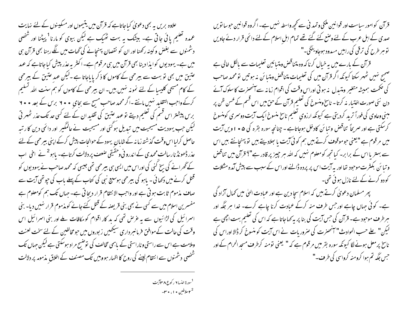قرآن کوامور سیاست اور قوانین مککی وتمد نی سے محچھ واسطہ نہیں ہے۔ اگر وہ قوانین حوسا نویں صدی کے اہل عرب کے لئے وضع کئے گئے تھے تمام اہلِ اسلام کے لئے دائمی قرار دئے جاویں نو سر طرح کی ترقی کی راہیں مسدود ہوجاو <sup>ین</sup>گی۔"

قرآن کے مارے میں بیہ خیال کرنا کہ وہ متناقض ومتیا ئین تعلیمات سے مالکل خالی ہے صحیح نہیں ٹھہر سکتا کیونکہ اگر قرآن میں کی تعلیمات متناقض ومتیائن نہ ہوتیں تو محمد صاحب کی حکمت ہمیشہ متغیر ومتبدل نہ ہو تی اوراس وقت کی اقوام زمانہ سے آنھھزت کا سلوک آئے دن نئی صورت اختیار نہ کرتا - ناسخ ومنسوخ کی تعلیم قرآن کے حن میں اس قسم کے گھس ظن پر مبنی وعاوی کی فوراً ترید کردیتی ہے کیونکہ ارزوی تعلیم ناسخ منسوخ ایک آیت دوسمری کومنسوخ کرسکتی ہے اور صریحاً تناقض و تبائن کادخل ہوجاتاہے - چنانچہ سورہ بقرہ کی ۵ • ۱ ویں آیت میں مرقوم ہے "یعنی حوموقوف کرتے ہیں ہم کوئی آیت یا بھلادیتے ہیں تو پہنچانتے ہیں اس سے بہتر پااس کے برابر۔ کیا تجھ کومعلوم نہیں کہ اللہ ہر چیز پر قادر ہے"؟ قرآن میں تناقض و تبائن بکنثرت موحود تھا اور یہ آیت اس پر پردہ ڈالنے اوراس کے سبب سے پیش آمدہ مشکلات کو دو کرنے کے لئے نازل ہو ئی تھی۔

پھر مسلمان دعویٰ کرتے ہیں کہ اسلام سجا دین ہے اور عبادت الهٰی میں تھمال آزاد کی ہے۔ کوئی حہاں جاہے اور جس طرف منہ کرکے عمادت کرنا چاہے کرے۔ خدا ہر جگہ اور ہر طرف موحود ہے۔ قرآن کی جس آیت کی بنا پر بہ کہاجاتا ہے کہ اس کی تعلیم بہت اچھی ہے لیکن" علے حسب الحوادث" آنحصرت کی صروریات نے اس آیت کو منسوخ کر ڈالا اوراس کی ناسخ پرمعل ہونے لگا کیونکہ سورہ بقر میں مرقوم ہے کہ " یعنی نومنہ کرطرف مسجد الحرام کے اور جس جگہ تم ہوا کرومنہ کرواسی کی طرف۔"

علاوہ بریں یہ بھی دعویٰ کیاجاتاہے کہ قرآن میں یتیموں اور مسکینوں کے لئے نہایت عمدہ تعلیم یائی جاتی ہے۔ بیٹک یہ بہت ٹھیک ہے لیکن بیوی کو مارنا <sup>1</sup> پیٹنا اور شخصی دشمنوں سے بغض و کپنہ رکھنا اور ان کو نقصان پہنچانے کی گھات میں لگے رہنا بھی قرآن ہی میں ہے۔ یہودیوں کوابذا دینا بھی قرآن میں ہی مرقوم ہے۔اکثر بیہ عذر پیش کیاجاتاہے کہ عہد عتیق میں بھی تو بہت سے بیرحمی کے کاموں کا ذکر پاباجاتا ہے ۔لیکن عہد عتیق کے بیرحمی کے کام مسیحی کلیسا کے لئے نمونہ نہیں بیں۔ ان بیرحمی کے کاموں کو ہم سنت اللہ کسلیم کرکے واجب التقلید نہیں مانتے ۔اگر محمد صاحب مسح سے بحای ٭ ٭ ۲ برس کے بعد ٭ ٭ ۲ برس پیشتر اس قسم کی تعلیم دیتے تو عہد عتیق کی تقلید ان کے لئے کسی حد تک عذر ٹھهر تی لیکن جب یہودیت مسیحیت میں تبدیل ہو گئی اور مسیحیت نے عالمگیر ِ اور دائمی دین کا رتبہ حاصل کرلیااس وقت گذشتہ زمانہ کے شاہان یہود کے حوالحات پیش کرکے اپنی بیرحمی کے لئے عذر ڈھونڈ نارسالت محمدی کے اندرو نی وحقیقی صعص پر دلالت کرتاہے۔ باہو<sup>2</sup> نے اخی اب کے گھرانے کی بسخ کنی کی اوراس میں ایسی سی بیر حمی تھی جیسی کہ محمد صاحب نے یہودیوں کو قتل کرنے میں دکھائی ۔ پاہو کی بیرحمی ہوسیع نبی کی کتاب کے پہلے پاپ کی چوتھی آیت سے صاف مذموم ثابت ہو تی ہے اور واحب الانتقام قرار دیجاتی ہے۔ حہاں تک ہم کومعلوم ہے مفسرین اسلام میں سے کسی نے بھی بنی قریصنہ کے قتل کئے جانے کو مذموم قرار نہیں دیا۔ بنی اسمرائیل کی لڑائیوں سے بہ عرص تھی کہ ید کار اقوام کو مکافات طے اور بنی اسمرائیل اس وقت کی حالت کے موافق فرما نبر داری سیکھیں زبوروں میں حومخالفین کے لئے سخت لعنت وملامت ہے اس سے راستی و ناراستی کے پاہمی تخالف کی توضیح مراد ہوسکتی ہے لیکن حہاں تک شخصی دشمنوں سے انتقام لینے کی روح کا اظہار ہوو پیں تک مصنف کے اخلاق مذمومہ پر دلالت

<sup>1</sup>سورة النسا ۲ ر کوع ۳۸ آیت<br>2 ماراطین • ۱ ، • ۳ -